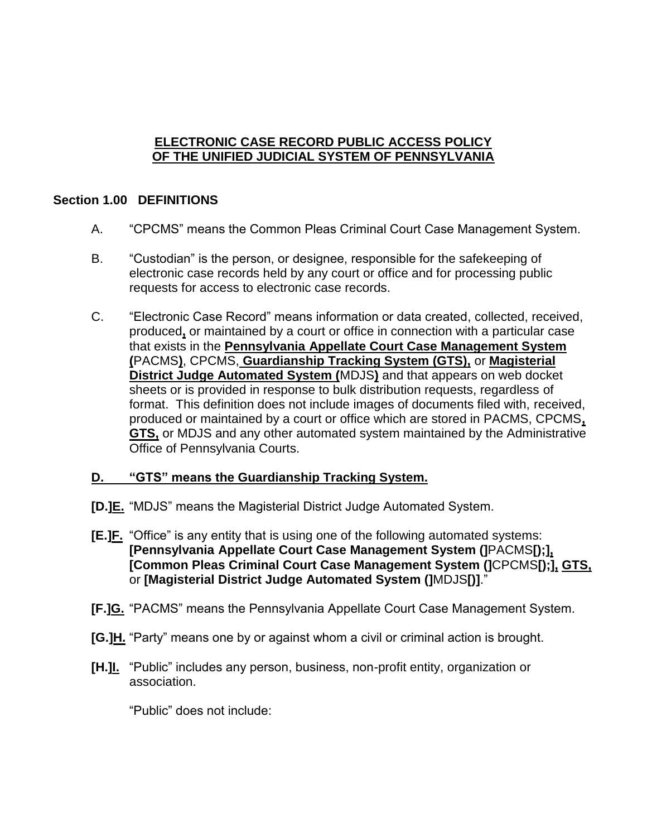## **ELECTRONIC CASE RECORD PUBLIC ACCESS POLICY OF THE UNIFIED JUDICIAL SYSTEM OF PENNSYLVANIA**

## **Section 1.00 DEFINITIONS**

- A. "CPCMS" means the Common Pleas Criminal Court Case Management System.
- B. "Custodian" is the person, or designee, responsible for the safekeeping of electronic case records held by any court or office and for processing public requests for access to electronic case records.
- C. "Electronic Case Record" means information or data created, collected, received, produced**,** or maintained by a court or office in connection with a particular case that exists in the **Pennsylvania Appellate Court Case Management System (**PACMS**)**, CPCMS, **Guardianship Tracking System (GTS),** or **Magisterial District Judge Automated System (**MDJS**)** and that appears on web docket sheets or is provided in response to bulk distribution requests, regardless of format. This definition does not include images of documents filed with, received, produced or maintained by a court or office which are stored in PACMS, CPCMS**, GTS,** or MDJS and any other automated system maintained by the Administrative Office of Pennsylvania Courts.

### **D. "GTS" means the Guardianship Tracking System.**

- **[D.]E.** "MDJS" means the Magisterial District Judge Automated System.
- **[E.]F.** "Office" is any entity that is using one of the following automated systems: **[Pennsylvania Appellate Court Case Management System (]**PACMS**[);], [Common Pleas Criminal Court Case Management System (]**CPCMS**[);], GTS,** or **[Magisterial District Judge Automated System (]**MDJS**[)]**."
- **[F.]G.** "PACMS" means the Pennsylvania Appellate Court Case Management System.
- **[G.]H.** "Party" means one by or against whom a civil or criminal action is brought.
- **[H.]I.** "Public" includes any person, business, non-profit entity, organization or association.

"Public" does not include: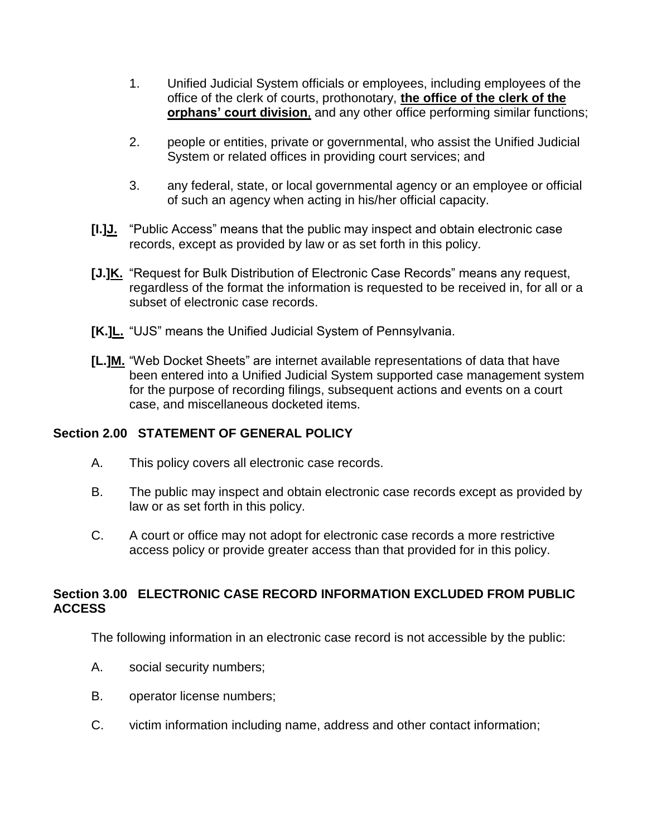- 1. Unified Judicial System officials or employees, including employees of the office of the clerk of courts, prothonotary, **the office of the clerk of the orphans' court division**, and any other office performing similar functions;
- 2. people or entities, private or governmental, who assist the Unified Judicial System or related offices in providing court services; and
- 3. any federal, state, or local governmental agency or an employee or official of such an agency when acting in his/her official capacity.
- **[I.]J.** "Public Access" means that the public may inspect and obtain electronic case records, except as provided by law or as set forth in this policy.
- **[J.]K.** "Request for Bulk Distribution of Electronic Case Records" means any request, regardless of the format the information is requested to be received in, for all or a subset of electronic case records.
- **[K.]L.** "UJS" means the Unified Judicial System of Pennsylvania.
- **[L.]M.** "Web Docket Sheets" are internet available representations of data that have been entered into a Unified Judicial System supported case management system for the purpose of recording filings, subsequent actions and events on a court case, and miscellaneous docketed items.

# **Section 2.00 STATEMENT OF GENERAL POLICY**

- A. This policy covers all electronic case records.
- B. The public may inspect and obtain electronic case records except as provided by law or as set forth in this policy.
- C. A court or office may not adopt for electronic case records a more restrictive access policy or provide greater access than that provided for in this policy.

## **Section 3.00 ELECTRONIC CASE RECORD INFORMATION EXCLUDED FROM PUBLIC ACCESS**

The following information in an electronic case record is not accessible by the public:

- A. social security numbers;
- B. operator license numbers;
- C. victim information including name, address and other contact information;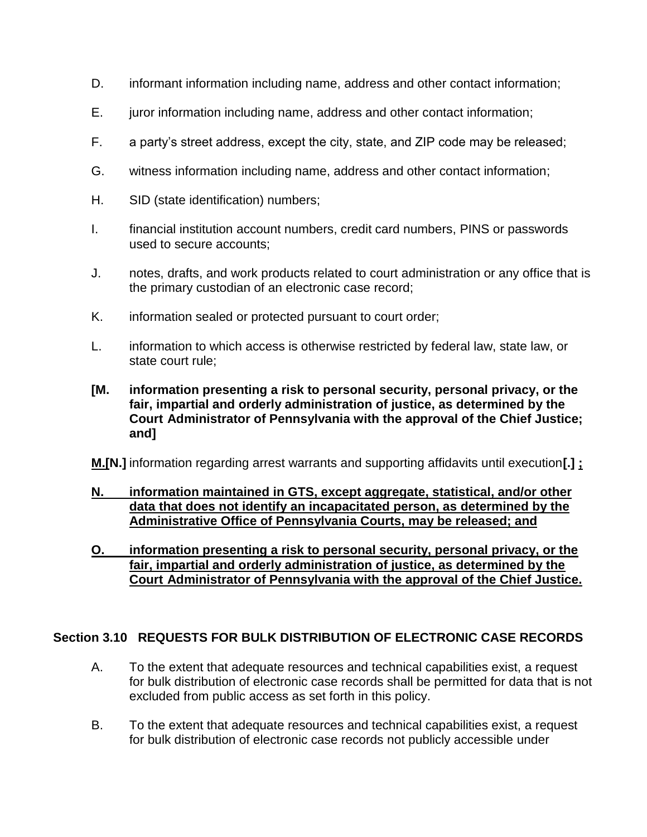- D. informant information including name, address and other contact information;
- E. juror information including name, address and other contact information;
- F. a party's street address, except the city, state, and ZIP code may be released;
- G. witness information including name, address and other contact information;
- H. SID (state identification) numbers;
- I. financial institution account numbers, credit card numbers, PINS or passwords used to secure accounts;
- J. notes, drafts, and work products related to court administration or any office that is the primary custodian of an electronic case record;
- K. information sealed or protected pursuant to court order;
- L. information to which access is otherwise restricted by federal law, state law, or state court rule;
- **[M. information presenting a risk to personal security, personal privacy, or the fair, impartial and orderly administration of justice, as determined by the Court Administrator of Pennsylvania with the approval of the Chief Justice; and]**

**M.[N.]** information regarding arrest warrants and supporting affidavits until execution**[.] ;**

- **N. information maintained in GTS, except aggregate, statistical, and/or other data that does not identify an incapacitated person, as determined by the Administrative Office of Pennsylvania Courts, may be released; and**
- **O. information presenting a risk to personal security, personal privacy, or the fair, impartial and orderly administration of justice, as determined by the Court Administrator of Pennsylvania with the approval of the Chief Justice.**

# **Section 3.10 REQUESTS FOR BULK DISTRIBUTION OF ELECTRONIC CASE RECORDS**

- A. To the extent that adequate resources and technical capabilities exist, a request for bulk distribution of electronic case records shall be permitted for data that is not excluded from public access as set forth in this policy.
- B. To the extent that adequate resources and technical capabilities exist, a request for bulk distribution of electronic case records not publicly accessible under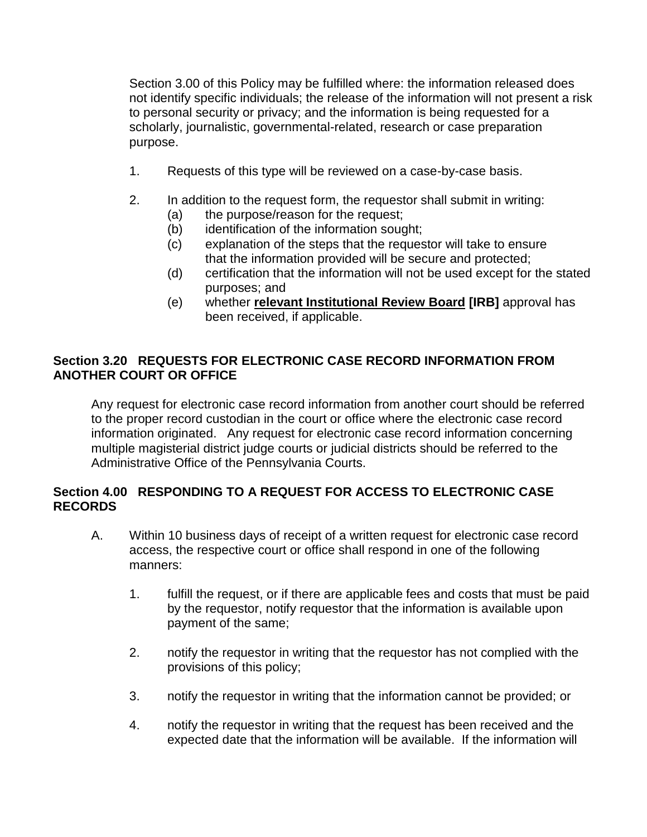Section 3.00 of this Policy may be fulfilled where: the information released does not identify specific individuals; the release of the information will not present a risk to personal security or privacy; and the information is being requested for a scholarly, journalistic, governmental-related, research or case preparation purpose.

- 1. Requests of this type will be reviewed on a case-by-case basis.
- 2. In addition to the request form, the requestor shall submit in writing:
	- (a) the purpose/reason for the request;
	- (b) identification of the information sought;
	- (c) explanation of the steps that the requestor will take to ensure that the information provided will be secure and protected;
	- (d) certification that the information will not be used except for the stated purposes; and
	- (e) whether **relevant Institutional Review Board [IRB]** approval has been received, if applicable.

## **Section 3.20 REQUESTS FOR ELECTRONIC CASE RECORD INFORMATION FROM ANOTHER COURT OR OFFICE**

Any request for electronic case record information from another court should be referred to the proper record custodian in the court or office where the electronic case record information originated. Any request for electronic case record information concerning multiple magisterial district judge courts or judicial districts should be referred to the Administrative Office of the Pennsylvania Courts.

## **Section 4.00 RESPONDING TO A REQUEST FOR ACCESS TO ELECTRONIC CASE RECORDS**

- A. Within 10 business days of receipt of a written request for electronic case record access, the respective court or office shall respond in one of the following manners:
	- 1. fulfill the request, or if there are applicable fees and costs that must be paid by the requestor, notify requestor that the information is available upon payment of the same;
	- 2. notify the requestor in writing that the requestor has not complied with the provisions of this policy;
	- 3. notify the requestor in writing that the information cannot be provided; or
	- 4. notify the requestor in writing that the request has been received and the expected date that the information will be available. If the information will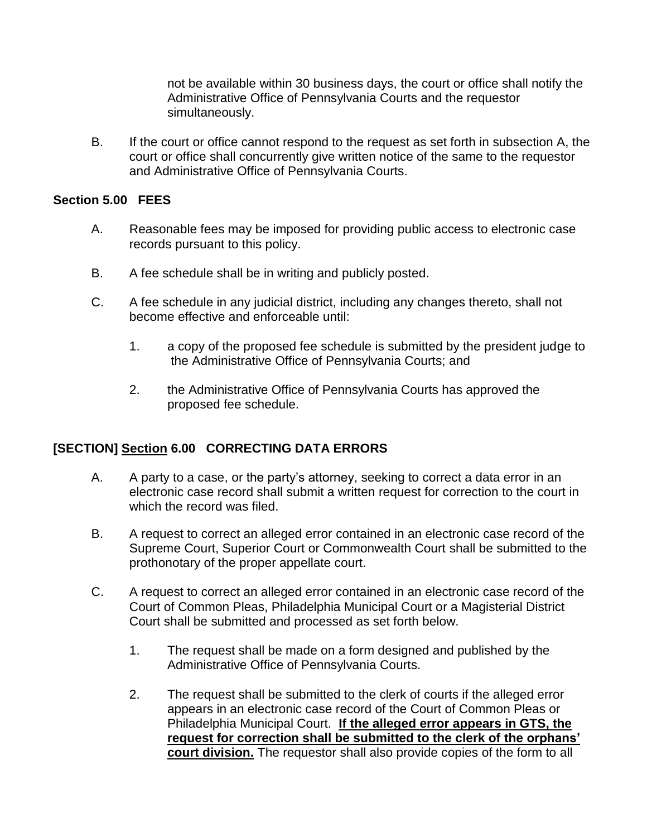not be available within 30 business days, the court or office shall notify the Administrative Office of Pennsylvania Courts and the requestor simultaneously.

B. If the court or office cannot respond to the request as set forth in subsection A, the court or office shall concurrently give written notice of the same to the requestor and Administrative Office of Pennsylvania Courts.

#### **Section 5.00 FEES**

- A. Reasonable fees may be imposed for providing public access to electronic case records pursuant to this policy.
- B. A fee schedule shall be in writing and publicly posted.
- C. A fee schedule in any judicial district, including any changes thereto, shall not become effective and enforceable until:
	- 1. a copy of the proposed fee schedule is submitted by the president judge to the Administrative Office of Pennsylvania Courts; and
	- 2. the Administrative Office of Pennsylvania Courts has approved the proposed fee schedule.

### **[SECTION] Section 6.00 CORRECTING DATA ERRORS**

- A. A party to a case, or the party's attorney, seeking to correct a data error in an electronic case record shall submit a written request for correction to the court in which the record was filed.
- B. A request to correct an alleged error contained in an electronic case record of the Supreme Court, Superior Court or Commonwealth Court shall be submitted to the prothonotary of the proper appellate court.
- C. A request to correct an alleged error contained in an electronic case record of the Court of Common Pleas, Philadelphia Municipal Court or a Magisterial District Court shall be submitted and processed as set forth below.
	- 1. The request shall be made on a form designed and published by the Administrative Office of Pennsylvania Courts.
	- 2. The request shall be submitted to the clerk of courts if the alleged error appears in an electronic case record of the Court of Common Pleas or Philadelphia Municipal Court. **If the alleged error appears in GTS, the request for correction shall be submitted to the clerk of the orphans' court division.** The requestor shall also provide copies of the form to all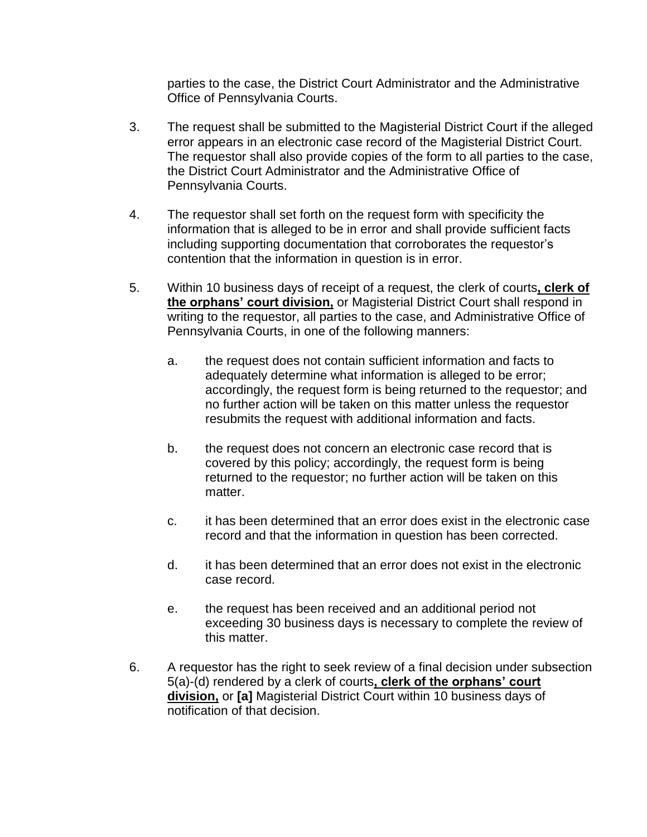parties to the case, the District Court Administrator and the Administrative Office of Pennsylvania Courts.

- 3. The request shall be submitted to the Magisterial District Court if the alleged error appears in an electronic case record of the Magisterial District Court. The requestor shall also provide copies of the form to all parties to the case, the District Court Administrator and the Administrative Office of Pennsylvania Courts.
- 4. The requestor shall set forth on the request form with specificity the information that is alleged to be in error and shall provide sufficient facts including supporting documentation that corroborates the requestor's contention that the information in question is in error.
- 5. Within 10 business days of receipt of a request, the clerk of courts**, clerk of the orphans' court division,** or Magisterial District Court shall respond in writing to the requestor, all parties to the case, and Administrative Office of Pennsylvania Courts, in one of the following manners:
	- a. the request does not contain sufficient information and facts to adequately determine what information is alleged to be error; accordingly, the request form is being returned to the requestor; and no further action will be taken on this matter unless the requestor resubmits the request with additional information and facts.
	- b. the request does not concern an electronic case record that is covered by this policy; accordingly, the request form is being returned to the requestor; no further action will be taken on this matter.
	- c. it has been determined that an error does exist in the electronic case record and that the information in question has been corrected.
	- d. it has been determined that an error does not exist in the electronic case record.
	- e. the request has been received and an additional period not exceeding 30 business days is necessary to complete the review of this matter.
- 6. A requestor has the right to seek review of a final decision under subsection 5(a)-(d) rendered by a clerk of courts**, clerk of the orphans' court division,** or **[a]** Magisterial District Court within 10 business days of notification of that decision.